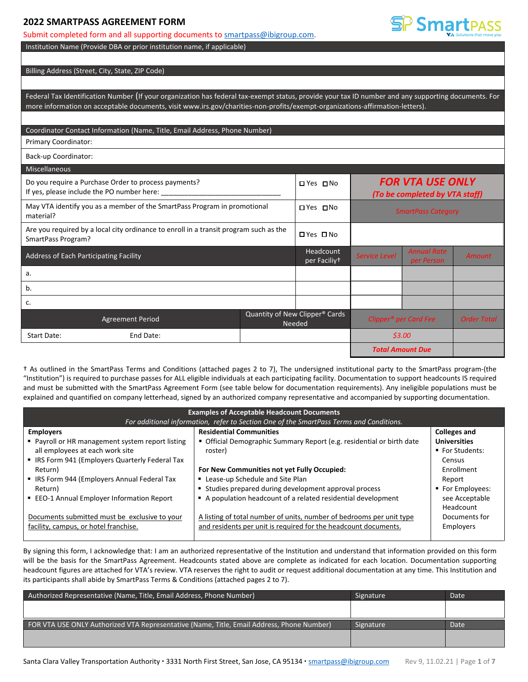## **2022 SMARTPASS AGREEMENT FORM**

### Submit completed form and all supporting documents to **smartpass@ibigroup.com**.

Institution Name (Provide DBA or prior institution name, if applicable)

### Billing Address (Street, City, State, ZIP Code)

Federal Tax Identification Number (If your organization has federal tax-exempt status, provide your tax ID number and any supporting documents. For more information on acceptable documents, visit www.irs.gov/charities-non-profits/exempt-organizations-affirmation-letters).

SP Smartpass

### Coordinator Contact Information (Name, Title, Email Address, Phone Number)

Primary Coordinator:

Back-up Coordinator:

| <b>Miscellaneous</b>                   |                                                                                                                                                                               |  |                                                      |                                   |                                  |                    |
|----------------------------------------|-------------------------------------------------------------------------------------------------------------------------------------------------------------------------------|--|------------------------------------------------------|-----------------------------------|----------------------------------|--------------------|
|                                        | <b>FOR VTA USE ONLY</b><br>Do you require a Purchase Order to process payments?<br>□ Yes □ No<br>If yes, please include the PO number here:<br>(To be completed by VTA staff) |  |                                                      |                                   |                                  |                    |
| material?                              | May VTA identify you as a member of the SmartPass Program in promotional                                                                                                      |  | □ Yes □ No                                           | <b>SmartPass Category</b>         |                                  |                    |
| SmartPass Program?                     | Are you required by a local city ordinance to enroll in a transit program such as the                                                                                         |  | $\Box$ Yes $\Box$ No                                 |                                   |                                  |                    |
| Address of Each Participating Facility |                                                                                                                                                                               |  | Headcount<br>per Faciliy <sup>+</sup>                | <b>Service Level</b>              | <b>Annual Rate</b><br>per Person | <b>Amount</b>      |
| а.                                     |                                                                                                                                                                               |  |                                                      |                                   |                                  |                    |
| b.                                     |                                                                                                                                                                               |  |                                                      |                                   |                                  |                    |
| c.                                     |                                                                                                                                                                               |  |                                                      |                                   |                                  |                    |
|                                        | <b>Agreement Period</b>                                                                                                                                                       |  | Quantity of New Clipper <sup>®</sup> Cards<br>Needed | Clipper <sup>®</sup> per Card Fee |                                  | <b>Order Total</b> |
| Start Date:                            | End Date:                                                                                                                                                                     |  |                                                      | \$3.00<br><b>Total Amount Due</b> |                                  |                    |
|                                        |                                                                                                                                                                               |  |                                                      |                                   |                                  |                    |

† As outlined in the SmartPass Terms and Conditions (attached pages 2 to 7), The undersigned institutional party to the SmartPass program-(the "Institution") is required to purchase passes for ALL eligible individuals at each participating facility. Documentation to support headcounts IS required and must be submitted with the SmartPass Agreement Form (see table below for documentation requirements). Any ineligible populations must be explained and quantified on company letterhead, signed by an authorized company representative and accompanied by supporting documentation.

| <b>Examples of Acceptable Headcount Documents</b>                                       |                                                                       |                     |  |  |  |  |  |  |
|-----------------------------------------------------------------------------------------|-----------------------------------------------------------------------|---------------------|--|--|--|--|--|--|
| For additional information, refer to Section One of the SmartPass Terms and Conditions. |                                                                       |                     |  |  |  |  |  |  |
| <b>Employers</b>                                                                        | <b>Residential Communities</b>                                        | <b>Colleges and</b> |  |  |  |  |  |  |
| • Payroll or HR management system report listing                                        | • Official Demographic Summary Report (e.g. residential or birth date | <b>Universities</b> |  |  |  |  |  |  |
| all employees at each work site                                                         | roster)                                                               | ■ For Students:     |  |  |  |  |  |  |
| • IRS Form 941 (Employers Quarterly Federal Tax                                         |                                                                       | Census              |  |  |  |  |  |  |
| Return)                                                                                 | For New Communities not yet Fully Occupied:                           | Enrollment          |  |  |  |  |  |  |
| • IRS Form 944 (Employers Annual Federal Tax                                            | " Lease-up Schedule and Site Plan                                     | Report              |  |  |  |  |  |  |
| Return)                                                                                 | Studies prepared during development approval process                  | ■ For Employees:    |  |  |  |  |  |  |
| ■ EEO-1 Annual Employer Information Report                                              | A population headcount of a related residential development           | see Acceptable      |  |  |  |  |  |  |
|                                                                                         |                                                                       | Headcount           |  |  |  |  |  |  |
| Documents submitted must be exclusive to your                                           | A listing of total number of units, number of bedrooms per unit type  | Documents for       |  |  |  |  |  |  |
| facility, campus, or hotel franchise.                                                   | and residents per unit is required for the headcount documents.       | Employers           |  |  |  |  |  |  |
|                                                                                         |                                                                       |                     |  |  |  |  |  |  |

By signing this form, I acknowledge that: I am an authorized representative of the Institution and understand that information provided on this form will be the basis for the SmartPass Agreement. Headcounts stated above are complete as indicated for each location. Documentation supporting headcount figures are attached for VTA's review. VTA reserves the right to audit or request additional documentation at any time. This Institution and its participants shall abide by SmartPass Terms & Conditions (attached pages 2 to 7).

| Signature | Date |
|-----------|------|
|           |      |
|           |      |
| Signature | Date |
|           |      |
|           |      |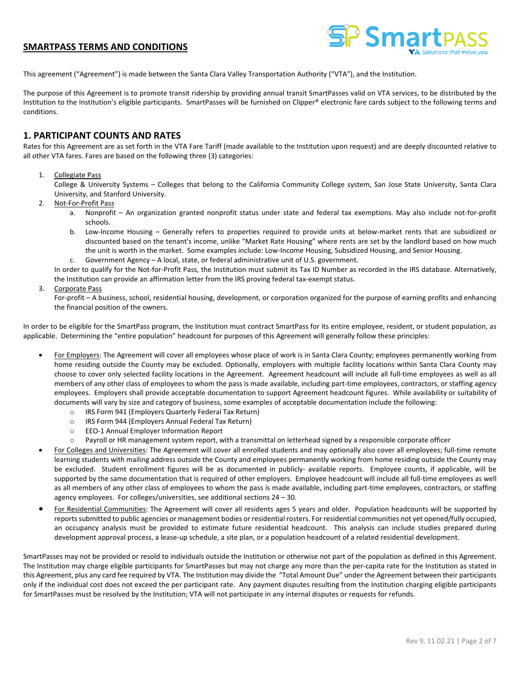

This agreement ("Agreement") is made between the Santa Clara Valley Transportation Authority ("VTA"), and the Institution.

The purpose of this Agreement is to promote transit ridership by providing annual transit SmartPasses valid on VTA services, to be distributed by the Institution to the Institution's eligible participants. SmartPasses will be furnished on Clipper® electronic fare cards subject to the following terms and conditions.

# **1. PARTICIPANT COUNTS AND RATES**

Rates for this Agreement are as set forth in the VTA Fare Tariff (made available to the Institution upon request) and are deeply discounted relative to all other VTA fares. Fares are based on the following three (3) categories:

### 1. Collegiate Pass

College & University Systems – Colleges that belong to the California Community College system, San Jose State University, Santa Clara University, and Stanford University.

- 2. Not-For-Profit Pass
	- a. Nonprofit An organization granted nonprofit status under state and federal tax exemptions. May also include not-for-profit schools.
	- b. Low-Income Housing Generally refers to properties required to provide units at below-market rents that are subsidized or discounted based on the tenant's income, unlike "Market Rate Housing" where rents are set by the landlord based on how much the unit is worth in the market. Some examples include: Low-Income Housing, Subsidized Housing, and Senior Housing.
	- c. Government Agency A local, state, or federal administrative unit of U.S. government.

In order to qualify for the Not-for-Profit Pass, the Institution must submit its Tax ID Number as recorded in the IRS database. Alternatively, the Institution can provide an affirmation letter from the IRS proving federal tax-exempt status.

3. Corporate Pass

For-profit – A business, school, residential housing, development, or corporation organized for the purpose of earning profits and enhancing the financial position of the owners.

In order to be eligible for the SmartPass program, the Institution must contract SmartPass for its entire employee, resident, or student population, as applicable. Determining the "entire population" headcount for purposes of this Agreement will generally follow these principles:

- For Employers: The Agreement will cover all employees whose place of work is in Santa Clara County; employees permanently working from home residing outside the County may be excluded. Optionally, employers with multiple facility locations within Santa Clara County may choose to cover only selected facility locations in the Agreement. Agreement headcount will include all full-time employees as well as all members of any other class of employees to whom the pass is made available, including part-time employees, contractors, or staffing agency employees. Employers shall provide acceptable documentation to support Agreement headcount figures. While availability or suitability of documents will vary by size and category of business, some examples of acceptable documentation include the following:
	- o IRS Form 941 (Employers Quarterly Federal Tax Return)
	- o IRS Form 944 (Employers Annual Federal Tax Return)
	- o EEO-1 Annual Employer Information Report
	- o Payroll or HR management system report, with a transmittal on letterhead signed by a responsible corporate officer
- For Colleges and Universities: The Agreement will cover all enrolled students and may optionally also cover all employees; full-time remote learning students with mailing address outside the County and employees permanently working from home residing outside the County may be excluded. Student enrollment figures will be as documented in publicly- available reports. Employee counts, if applicable, will be supported by the same documentation that is required of other employers. Employee headcount will include all full-time employees as well as all members of any other class of employees to whom the pass is made available, including part-time employees, contractors, or staffing agency employees. For colleges/universities, see additional sections 24 – 30.
- For Residential Communities: The Agreement will cover all residents ages 5 years and older. Population headcounts will be supported by reports submitted to public agencies or management bodies or residential rosters. For residential communities not yet opened/fully occupied, an occupancy analysis must be provided to estimate future residential headcount. This analysis can include studies prepared during development approval process, a lease-up schedule, a site plan, or a population headcount of a related residential development.

SmartPasses may not be provided or resold to individuals outside the Institution or otherwise not part of the population as defined in this Agreement. The Institution may charge eligible participants for SmartPasses but may not charge any more than the per-capita rate for the Institution as stated in this Agreement, plus any card fee required by VTA. The Institution may divide the "Total Amount Due" under the Agreement between their participants only if the individual cost does not exceed the per participant rate. Any payment disputes resulting from the Institution charging eligible participants for SmartPasses must be resolved by the Institution; VTA will not participate in any internal disputes or requests for refunds.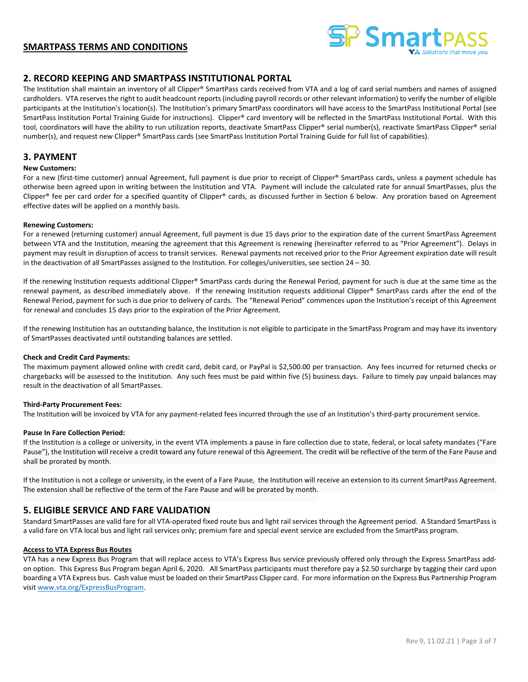

### **2. RECORD KEEPING AND SMARTPASS INSTITUTIONAL PORTAL**

The Institution shall maintain an inventory of all Clipper® SmartPass cards received from VTA and a log of card serial numbers and names of assigned cardholders. VTA reserves the right to audit headcount reports (including payroll records or other relevant information) to verify the number of eligible participants at the Institution's location(s). The Institution's primary SmartPass coordinators will have access to the SmartPass Institutional Portal (see SmartPass Institution Portal Training Guide for instructions). Clipper® card inventory will be reflected in the SmartPass Institutional Portal. With this tool, coordinators will have the ability to run utilization reports, deactivate SmartPass Clipper® serial number(s), reactivate SmartPass Clipper® serial number(s), and request new Clipper® SmartPass cards (see SmartPass Institution Portal Training Guide for full list of capabilities).

# **3. PAYMENT**

### **New Customers:**

For a new (first-time customer) annual Agreement, full payment is due prior to receipt of Clipper® SmartPass cards, unless a payment schedule has otherwise been agreed upon in writing between the Institution and VTA. Payment will include the calculated rate for annual SmartPasses, plus the Clipper® fee per card order for a specified quantity of Clipper® cards, as discussed further in Section 6 below. Any proration based on Agreement effective dates will be applied on a monthly basis.

#### **Renewing Customers:**

For a renewed (returning customer) annual Agreement, full payment is due 15 days prior to the expiration date of the current SmartPass Agreement between VTA and the Institution, meaning the agreement that this Agreement is renewing (hereinafter referred to as "Prior Agreement"). Delays in payment may result in disruption of access to transit services. Renewal payments not received prior to the Prior Agreement expiration date will result in the deactivation of all SmartPasses assigned to the Institution. For colleges/universities, see section 24 – 30.

If the renewing Institution requests additional Clipper® SmartPass cards during the Renewal Period, payment for such is due at the same time as the renewal payment, as described immediately above. If the renewing Institution requests additional Clipper® SmartPass cards after the end of the Renewal Period, payment for such is due prior to delivery of cards. The "Renewal Period" commences upon the Institution's receipt of this Agreement for renewal and concludes 15 days prior to the expiration of the Prior Agreement.

If the renewing Institution has an outstanding balance, the Institution is not eligible to participate in the SmartPass Program and may have its inventory of SmartPasses deactivated until outstanding balances are settled.

#### **Check and Credit Card Payments:**

The maximum payment allowed online with credit card, debit card, or PayPal is \$2,500.00 per transaction. Any fees incurred for returned checks or chargebacks will be assessed to the Institution. Any such fees must be paid within five (5) business days. Failure to timely pay unpaid balances may result in the deactivation of all SmartPasses.

#### **Third-Party Procurement Fees:**

The Institution will be invoiced by VTA for any payment-related fees incurred through the use of an Institution's third-party procurement service.

#### **Pause In Fare Collection Period:**

If the Institution is a college or university, in the event VTA implements a pause in fare collection due to state, federal, or local safety mandates ("Fare Pause"), the Institution will receive a credit toward any future renewal of this Agreement. The credit will be reflective of the term of the Fare Pause and shall be prorated by month.

If the Institution is not a college or university, in the event of a Fare Pause, the Institution will receive an extension to its current SmartPass Agreement. The extension shall be reflective of the term of the Fare Pause and will be prorated by month.

### **5. ELIGIBLE SERVICE AND FARE VALIDATION**

Standard SmartPasses are valid fare for all VTA-operated fixed route bus and light rail services through the Agreement period. A Standard SmartPass is a valid fare on VTA local bus and light rail services only; premium fare and special event service are excluded from the SmartPass program.

#### **Access to VTA Express Bus Routes**

VTA has a new Express Bus Program that will replace access to VTA's Express Bus service previously offered only through the Express SmartPass addon option. This Express Bus Program began April 6, 2020. All SmartPass participants must therefore pay a \$2.50 surcharge by tagging their card upon boarding a VTA Express bus. Cash value must be loaded on their SmartPass Clipper card. For more information on the Express Bus Partnership Program visit [www.vta.org/ExpressBusProgram.](http://www.vta.org/ExpressBusProgram)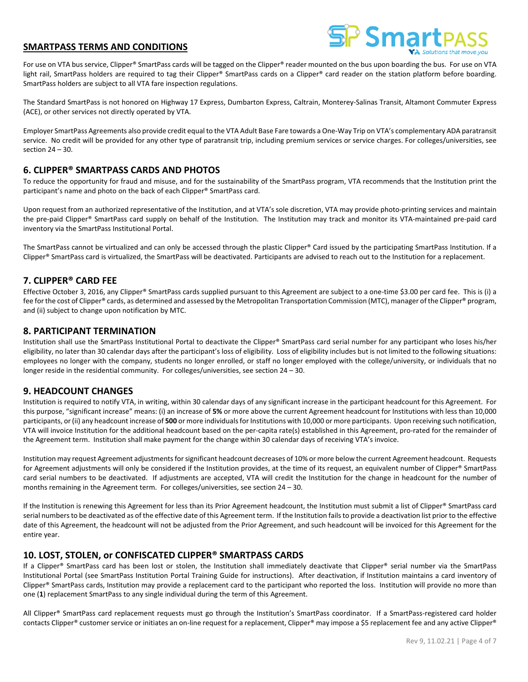

For use on VTA bus service, Clipper® SmartPass cards will be tagged on the Clipper® reader mounted on the bus upon boarding the bus. For use on VTA light rail, SmartPass holders are required to tag their Clipper® SmartPass cards on a Clipper® card reader on the station platform before boarding. SmartPass holders are subject to all VTA fare inspection regulations.

The Standard SmartPass is not honored on Highway 17 Express, Dumbarton Express, Caltrain, Monterey-Salinas Transit, Altamont Commuter Express (ACE), or other services not directly operated by VTA.

Employer SmartPass Agreements also provide credit equal to the VTA Adult Base Fare towards a One-Way Trip on VTA's complementary ADA paratransit service. No credit will be provided for any other type of paratransit trip, including premium services or service charges. For colleges/universities, see section  $24 - 30$ .

# **6. CLIPPER® SMARTPASS CARDS AND PHOTOS**

To reduce the opportunity for fraud and misuse, and for the sustainability of the SmartPass program, VTA recommends that the Institution print the participant's name and photo on the back of each Clipper® SmartPass card.

Upon request from an authorized representative of the Institution, and at VTA's sole discretion, VTA may provide photo-printing services and maintain the pre-paid Clipper® SmartPass card supply on behalf of the Institution. The Institution may track and monitor its VTA-maintained pre-paid card inventory via the SmartPass Institutional Portal.

The SmartPass cannot be virtualized and can only be accessed through the plastic Clipper® Card issued by the participating SmartPass Institution. If a Clipper® SmartPass card is virtualized, the SmartPass will be deactivated. Participants are advised to reach out to the Institution for a replacement.

# **7. CLIPPER® CARD FEE**

Effective October 3, 2016, any Clipper® SmartPass cards supplied pursuant to this Agreement are subject to a one-time \$3.00 per card fee. This is (i) a fee for the cost of Clipper® cards, as determined and assessed by the Metropolitan Transportation Commission (MTC), manager of the Clipper® program, and (ii) subject to change upon notification by MTC.

## **8. PARTICIPANT TERMINATION**

Institution shall use the SmartPass Institutional Portal to deactivate the Clipper® SmartPass card serial number for any participant who loses his/her eligibility, no later than 30 calendar days after the participant's loss of eligibility. Loss of eligibility includes but is not limited to the following situations: employees no longer with the company, students no longer enrolled, or staff no longer employed with the college/university, or individuals that no longer reside in the residential community. For colleges/universities, see section 24 – 30.

## **9. HEADCOUNT CHANGES**

Institution is required to notify VTA, in writing, within 30 calendar days of any significant increase in the participant headcount for this Agreement. For this purpose, "significant increase" means: (i) an increase of **5%** or more above the current Agreement headcount for Institutions with less than 10,000 participants, or (ii) any headcount increase of **500** or more individuals for Institutions with 10,000 or more participants. Upon receiving such notification, VTA will invoice Institution for the additional headcount based on the per-capita rate(s) established in this Agreement, pro-rated for the remainder of the Agreement term. Institution shall make payment for the change within 30 calendar days of receiving VTA's invoice.

Institution may request Agreement adjustments for significant headcount decreases of 10% or more below the current Agreement headcount. Requests for Agreement adjustments will only be considered if the Institution provides, at the time of its request, an equivalent number of Clipper® SmartPass card serial numbers to be deactivated. If adjustments are accepted, VTA will credit the Institution for the change in headcount for the number of months remaining in the Agreement term. For colleges/universities, see section 24 – 30.

If the Institution is renewing this Agreement for less than its Prior Agreement headcount, the Institution must submit a list of Clipper® SmartPass card serial numbers to be deactivated as of the effective date of this Agreement term. If the Institution fails to provide a deactivation list prior to the effective date of this Agreement, the headcount will not be adjusted from the Prior Agreement, and such headcount will be invoiced for this Agreement for the entire year.

## **10. LOST, STOLEN, or CONFISCATED CLIPPER® SMARTPASS CARDS**

If a Clipper® SmartPass card has been lost or stolen, the Institution shall immediately deactivate that Clipper® serial number via the SmartPass Institutional Portal (see SmartPass Institution Portal Training Guide for instructions). After deactivation, if Institution maintains a card inventory of Clipper® SmartPass cards, Institution may provide a replacement card to the participant who reported the loss. Institution will provide no more than one (**1**) replacement SmartPass to any single individual during the term of this Agreement.

All Clipper® SmartPass card replacement requests must go through the Institution's SmartPass coordinator. If a SmartPass-registered card holder contacts Clipper® customer service or initiates an on-line request for a replacement, Clipper® may impose a \$5 replacement fee and any active Clipper®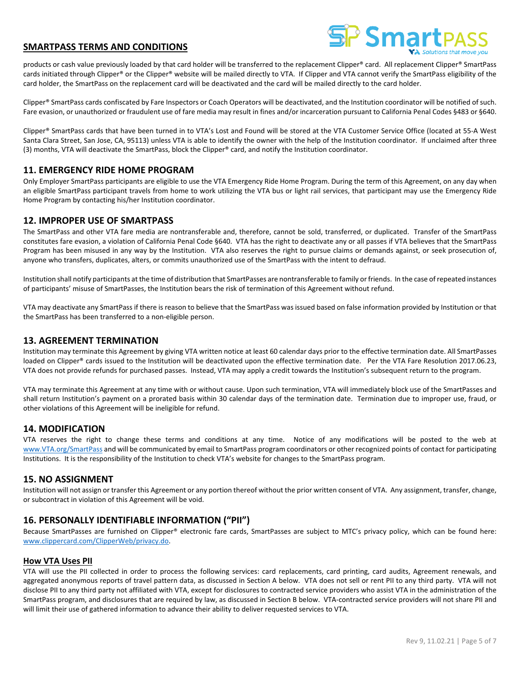

products or cash value previously loaded by that card holder will be transferred to the replacement Clipper® card. All replacement Clipper® SmartPass cards initiated through Clipper® or the Clipper® website will be mailed directly to VTA. If Clipper and VTA cannot verify the SmartPass eligibility of the card holder, the SmartPass on the replacement card will be deactivated and the card will be mailed directly to the card holder.

Clipper® SmartPass cards confiscated by Fare Inspectors or Coach Operators will be deactivated, and the Institution coordinator will be notified of such. Fare evasion, or unauthorized or fraudulent use of fare media may result in fines and/or incarceration pursuant to California Penal Codes §483 or §640.

Clipper® SmartPass cards that have been turned in to VTA's Lost and Found will be stored at the VTA Customer Service Office (located at 55-A West Santa Clara Street, San Jose, CA, 95113) unless VTA is able to identify the owner with the help of the Institution coordinator. If unclaimed after three (3) months, VTA will deactivate the SmartPass, block the Clipper® card, and notify the Institution coordinator.

## **11. EMERGENCY RIDE HOME PROGRAM**

Only Employer SmartPass participants are eligible to use the VTA Emergency Ride Home Program. During the term of this Agreement, on any day when an eligible SmartPass participant travels from home to work utilizing the VTA bus or light rail services, that participant may use the Emergency Ride Home Program by contacting his/her Institution coordinator.

# **12. IMPROPER USE OF SMARTPASS**

The SmartPass and other VTA fare media are nontransferable and, therefore, cannot be sold, transferred, or duplicated. Transfer of the SmartPass constitutes fare evasion, a violation of California Penal Code §640. VTA has the right to deactivate any or all passes if VTA believes that the SmartPass Program has been misused in any way by the Institution. VTA also reserves the right to pursue claims or demands against, or seek prosecution of, anyone who transfers, duplicates, alters, or commits unauthorized use of the SmartPass with the intent to defraud.

Institution shall notify participants at the time of distribution that SmartPasses are nontransferable to family or friends. In the case of repeated instances of participants' misuse of SmartPasses, the Institution bears the risk of termination of this Agreement without refund.

VTA may deactivate any SmartPass if there is reason to believe that the SmartPass was issued based on false information provided by Institution or that the SmartPass has been transferred to a non-eligible person.

### **13. AGREEMENT TERMINATION**

Institution may terminate this Agreement by giving VTA written notice at least 60 calendar days prior to the effective termination date. All SmartPasses loaded on Clipper® cards issued to the Institution will be deactivated upon the effective termination date. Per the VTA Fare Resolution 2017.06.23, VTA does not provide refunds for purchased passes. Instead, VTA may apply a credit towards the Institution's subsequent return to the program.

VTA may terminate this Agreement at any time with or without cause. Upon such termination, VTA will immediately block use of the SmartPasses and shall return Institution's payment on a prorated basis within 30 calendar days of the termination date. Termination due to improper use, fraud, or other violations of this Agreement will be ineligible for refund.

## **14. MODIFICATION**

VTA reserves the right to change these terms and conditions at any time. Notice of any modifications will be posted to the web at [www.VTA.org/SmartPass](http://www.vta.org/SmartPass) and will be communicated by email to SmartPass program coordinators or other recognized points of contact for participating Institutions. It is the responsibility of the Institution to check VTA's website for changes to the SmartPass program.

### **15. NO ASSIGNMENT**

Institution will not assign or transfer this Agreement or any portion thereof without the prior written consent of VTA. Any assignment, transfer, change, or subcontract in violation of this Agreement will be void.

## **16. PERSONALLY IDENTIFIABLE INFORMATION ("PII")**

Because SmartPasses are furnished on Clipper® electronic fare cards, SmartPasses are subject to MTC's privacy policy, which can be found here: [www.clippercard.com/ClipperWeb/privacy.do.](http://www.clippercard.com/ClipperWeb/privacy.do) 

### **How VTA Uses PII**

VTA will use the PII collected in order to process the following services: card replacements, card printing, card audits, Agreement renewals, and aggregated anonymous reports of travel pattern data, as discussed in Section A below. VTA does not sell or rent PII to any third party. VTA will not disclose PII to any third party not affiliated with VTA, except for disclosures to contracted service providers who assist VTA in the administration of the SmartPass program, and disclosures that are required by law, as discussed in Section B below. VTA-contracted service providers will not share PII and will limit their use of gathered information to advance their ability to deliver requested services to VTA.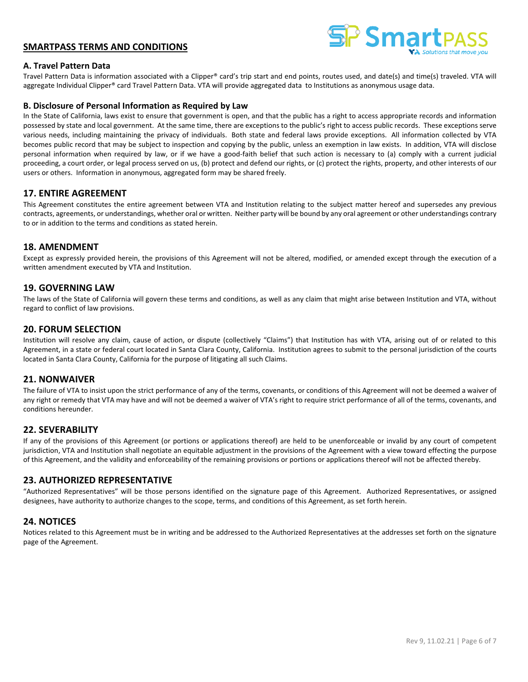

### **A. Travel Pattern Data**

Travel Pattern Data is information associated with a Clipper® card's trip start and end points, routes used, and date(s) and time(s) traveled. VTA will aggregate Individual Clipper® card Travel Pattern Data. VTA will provide aggregated data to Institutions as anonymous usage data.

### **B. Disclosure of Personal Information as Required by Law**

In the State of California, laws exist to ensure that government is open, and that the public has a right to access appropriate records and information possessed by state and local government. At the same time, there are exceptions to the public's right to access public records. These exceptions serve various needs, including maintaining the privacy of individuals. Both state and federal laws provide exceptions. All information collected by VTA becomes public record that may be subject to inspection and copying by the public, unless an exemption in law exists. In addition, VTA will disclose personal information when required by law, or if we have a good-faith belief that such action is necessary to (a) comply with a current judicial proceeding, a court order, or legal process served on us, (b) protect and defend our rights, or (c) protect the rights, property, and other interests of our users or others. Information in anonymous, aggregated form may be shared freely.

## **17. ENTIRE AGREEMENT**

This Agreement constitutes the entire agreement between VTA and Institution relating to the subject matter hereof and supersedes any previous contracts, agreements, or understandings, whether oral or written. Neither party will be bound by any oral agreement or other understandings contrary to or in addition to the terms and conditions as stated herein.

### **18. AMENDMENT**

Except as expressly provided herein, the provisions of this Agreement will not be altered, modified, or amended except through the execution of a written amendment executed by VTA and Institution.

## **19. GOVERNING LAW**

The laws of the State of California will govern these terms and conditions, as well as any claim that might arise between Institution and VTA, without regard to conflict of law provisions.

## **20. FORUM SELECTION**

Institution will resolve any claim, cause of action, or dispute (collectively "Claims") that Institution has with VTA, arising out of or related to this Agreement, in a state or federal court located in Santa Clara County, California. Institution agrees to submit to the personal jurisdiction of the courts located in Santa Clara County, California for the purpose of litigating all such Claims.

### **21. NONWAIVER**

The failure of VTA to insist upon the strict performance of any of the terms, covenants, or conditions of this Agreement will not be deemed a waiver of any right or remedy that VTA may have and will not be deemed a waiver of VTA's right to require strict performance of all of the terms, covenants, and conditions hereunder.

## **22. SEVERABILITY**

If any of the provisions of this Agreement (or portions or applications thereof) are held to be unenforceable or invalid by any court of competent jurisdiction, VTA and Institution shall negotiate an equitable adjustment in the provisions of the Agreement with a view toward effecting the purpose of this Agreement, and the validity and enforceability of the remaining provisions or portions or applications thereof will not be affected thereby.

## **23. AUTHORIZED REPRESENTATIVE**

"Authorized Representatives" will be those persons identified on the signature page of this Agreement. Authorized Representatives, or assigned designees, have authority to authorize changes to the scope, terms, and conditions of this Agreement, as set forth herein.

## **24. NOTICES**

Notices related to this Agreement must be in writing and be addressed to the Authorized Representatives at the addresses set forth on the signature page of the Agreement.